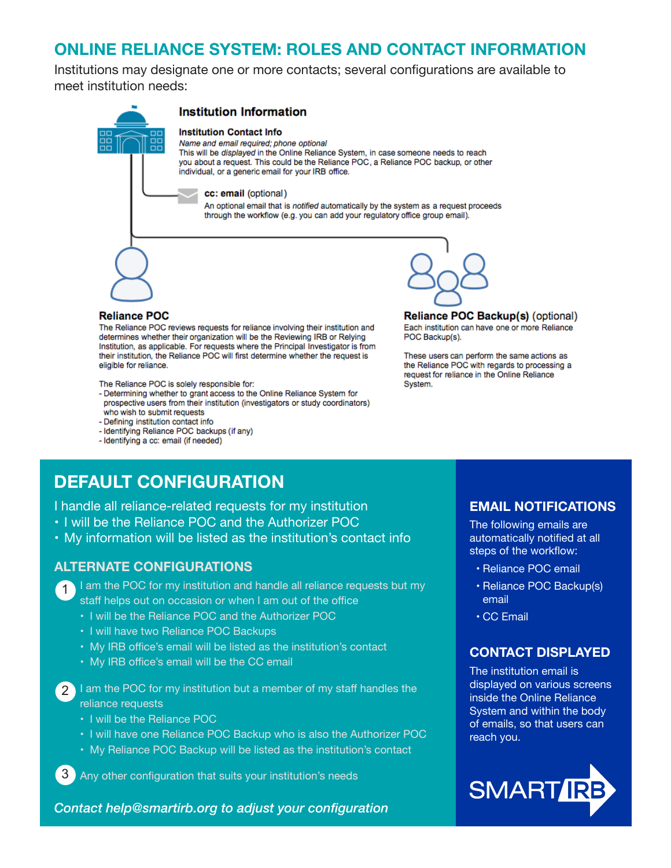# **ONLINE RELIANCE SYSTEM: ROLES AND CONTACT INFORMATION**

Institutions may designate one or more contacts; several configurations are available to meet institution needs:

| <b>Institution Information</b>                                                                                                                                                                                                                                                                                           |
|--------------------------------------------------------------------------------------------------------------------------------------------------------------------------------------------------------------------------------------------------------------------------------------------------------------------------|
| <b>Institution Contact Info</b><br>Name and email required; phone optional<br>This will be <i>displayed</i> in the Online Reliance System, in case someone needs to reach<br>you about a request. This could be the Reliance POC, a Reliance POC backup, or other<br>individual, or a generic email for your IRB office. |
| cc: email (optional)                                                                                                                                                                                                                                                                                                     |
| An optional email that is notified automatically by the system as a request proceeds<br>through the workflow (e.g. you can add your regulatory office group email).                                                                                                                                                      |
|                                                                                                                                                                                                                                                                                                                          |
|                                                                                                                                                                                                                                                                                                                          |
| <b>Reliance POC Backup</b>                                                                                                                                                                                                                                                                                               |
|                                                                                                                                                                                                                                                                                                                          |

The Reliance POC reviews requests for reliance involving their institution and determines whether their organization will be the Reviewing IRB or Relying Institution, as applicable. For requests where the Principal Investigator is from their institution, the Reliance POC will first determine whether the request is eligible for reliance.

The Reliance POC is solely responsible for:

- Determining whether to grant access to the Online Reliance System for prospective users from their institution (investigators or study coordinators) who wish to submit requests
- Defining institution contact info
- Identifying Reliance POC backups (if any)
- Identifying a cc: email (if needed)

p(s) (optional) Each institution can have one or more Reliance POC Backup(s).

These users can perform the same actions as the Reliance POC with regards to processing a request for reliance in the Online Reliance System.

# **DEFAULT CONFIGURATION**

I handle all reliance-related requests for my institution

- I will be the Reliance POC and the Authorizer POC
- My information will be listed as the institution's contact info

#### **ALTERNATE CONFIGURATIONS**

1 I am the POC for my institution and handle all reliance requests but my staff helps out on occasion or when I am out of the office

- I will be the Reliance POC and the Authorizer POC
- I will have two Reliance POC Backups
- My IRB office's email will be listed as the institution's contact
- My IRB office's email will be the CC email

2 I am the POC for my institution but a member of my staff handles the reliance requests

- I will be the Reliance POC
- I will have one Reliance POC Backup who is also the Authorizer POC
- My Reliance POC Backup will be listed as the institution's contact

3 Any other configuration that suits your institution's needs

*Contact help@smartirb.org to adjust your configuration*

#### **EMAIL NOTIFICATIONS**

The following emails are automatically notified at all steps of the workflow:

- Reliance POC email
- Reliance POC Backup(s) email
- CC Email

### **CONTACT DISPLAYED**

The institution email is displayed on various screens inside the Online Reliance System and within the body of emails, so that users can reach you.

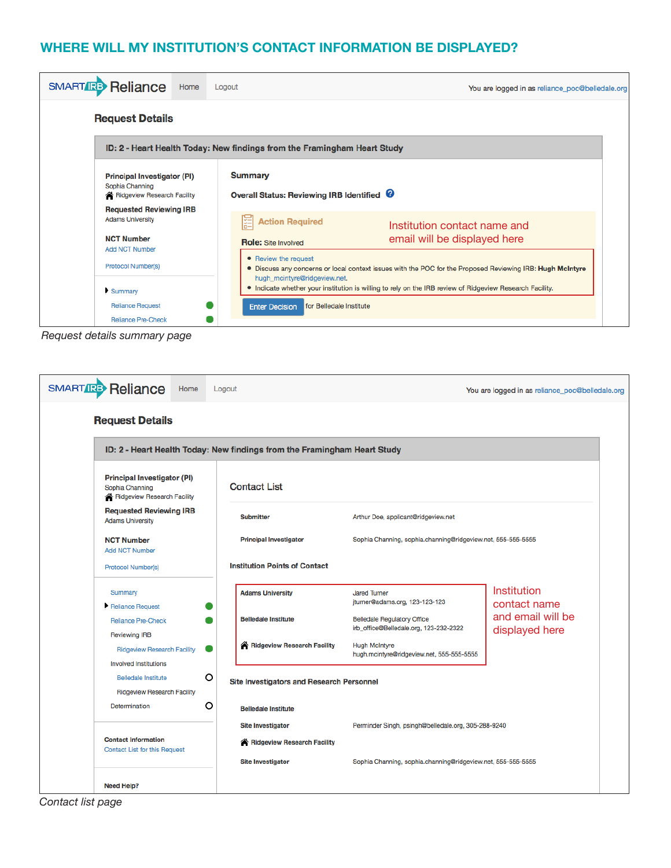## **WHERE WILL MY INSTITUTION'S CONTACT INFORMATION BE DISPLAYED?**

| <b>SMART RB</b> Reliance<br>Home                                                                                       | Logout                                                                                                                                                                                                                                                                        | You are logged in as reliance_poc@belledale.org              |  |  |  |
|------------------------------------------------------------------------------------------------------------------------|-------------------------------------------------------------------------------------------------------------------------------------------------------------------------------------------------------------------------------------------------------------------------------|--------------------------------------------------------------|--|--|--|
| <b>Request Details</b>                                                                                                 |                                                                                                                                                                                                                                                                               |                                                              |  |  |  |
| ID: 2 - Heart Health Today: New findings from the Framingham Heart Study                                               |                                                                                                                                                                                                                                                                               |                                                              |  |  |  |
| <b>Principal Investigator (PI)</b><br>Sophia Channing<br>Ridgeview Research Facility<br><b>Requested Reviewing IRB</b> | <b>Summary</b><br>Overall Status: Reviewing IRB Identified <sup>0</sup>                                                                                                                                                                                                       |                                                              |  |  |  |
| <b>Adams University</b><br><b>NCT Number</b><br><b>Add NCT Number</b>                                                  | <b>Action Required</b><br>涯<br><b>Role:</b> Site Involved                                                                                                                                                                                                                     | Institution contact name and<br>email will be displayed here |  |  |  |
| <b>Protocol Number(s)</b><br>Summary                                                                                   | • Review the request<br>. Discuss any concerns or local context issues with the POC for the Proposed Reviewing IRB: Hugh McIntyre<br>hugh_mcintyre@ridgeview.net.<br>• Indicate whether your institution is willing to rely on the IRB review of Ridgeview Research Facility. |                                                              |  |  |  |
| <b>Reliance Request</b><br><b>Reliance Pre-Check</b>                                                                   | for Belledale Institute<br><b>Enter Decision</b>                                                                                                                                                                                                                              |                                                              |  |  |  |

*Request details summary page*

| <b>SMART REP Reliance</b><br>Home                                                    | Logout                                    |                                                                              | You are logged in as reliance_poc@belledale.org |  |  |
|--------------------------------------------------------------------------------------|-------------------------------------------|------------------------------------------------------------------------------|-------------------------------------------------|--|--|
| <b>Request Details</b>                                                               |                                           |                                                                              |                                                 |  |  |
| ID: 2 - Heart Health Today: New findings from the Framingham Heart Study             |                                           |                                                                              |                                                 |  |  |
| <b>Principal Investigator (PI)</b><br>Sophia Channing<br>Ridgeview Research Facility | <b>Contact List</b>                       |                                                                              |                                                 |  |  |
| <b>Requested Reviewing IRB</b><br><b>Adams University</b>                            | <b>Submitter</b>                          | Arthur Doe, applicant@ridgeview.net                                          |                                                 |  |  |
| <b>NCT Number</b><br><b>Add NCT Number</b>                                           | <b>Principal Investigator</b>             | Sophia Channing, sophia.channing@ridgeview.net, 555-555-5555                 |                                                 |  |  |
| Protocol Number(s)                                                                   | <b>Institution Points of Contact</b>      |                                                                              |                                                 |  |  |
| Summary<br>Reliance Request                                                          | <b>Adams University</b>                   | <b>Jared Turner</b><br>jturner@adams.org, 123-123-123                        | Institution<br>contact name                     |  |  |
| <b>Reliance Pre-Check</b><br><b>Reviewing IRB</b>                                    | <b>Belledale Institute</b>                | <b>Belledale Regulatory Office</b><br>irb_office@Belledale.org, 123-232-2322 | and email will be<br>displayed here             |  |  |
| <b>Ridgeview Research Facility</b><br><b>Involved Institutions</b>                   | Ridgeview Research Facility               | <b>Hugh McIntyre</b><br>hugh.mcintyre@ridgeview.net, 555-555-5555            |                                                 |  |  |
| O<br><b>Belledale Institute</b><br><b>Ridgeview Research Facility</b>                | Site Investigators and Research Personnel |                                                                              |                                                 |  |  |
| O<br>Determination                                                                   | <b>Belledale Institute</b>                |                                                                              |                                                 |  |  |
|                                                                                      | <b>Site Investigator</b>                  | Perminder Singh, psingh@belledale.org, 305-288-9240                          |                                                 |  |  |
| <b>Contact Information</b><br><b>Contact List for this Request</b>                   | Ridgeview Research Facility               |                                                                              |                                                 |  |  |
|                                                                                      | <b>Site Investigator</b>                  | Sophia Channing, sophia.channing@ridgeview.net, 555-555-5555                 |                                                 |  |  |
| <b>Need Help?</b>                                                                    |                                           |                                                                              |                                                 |  |  |